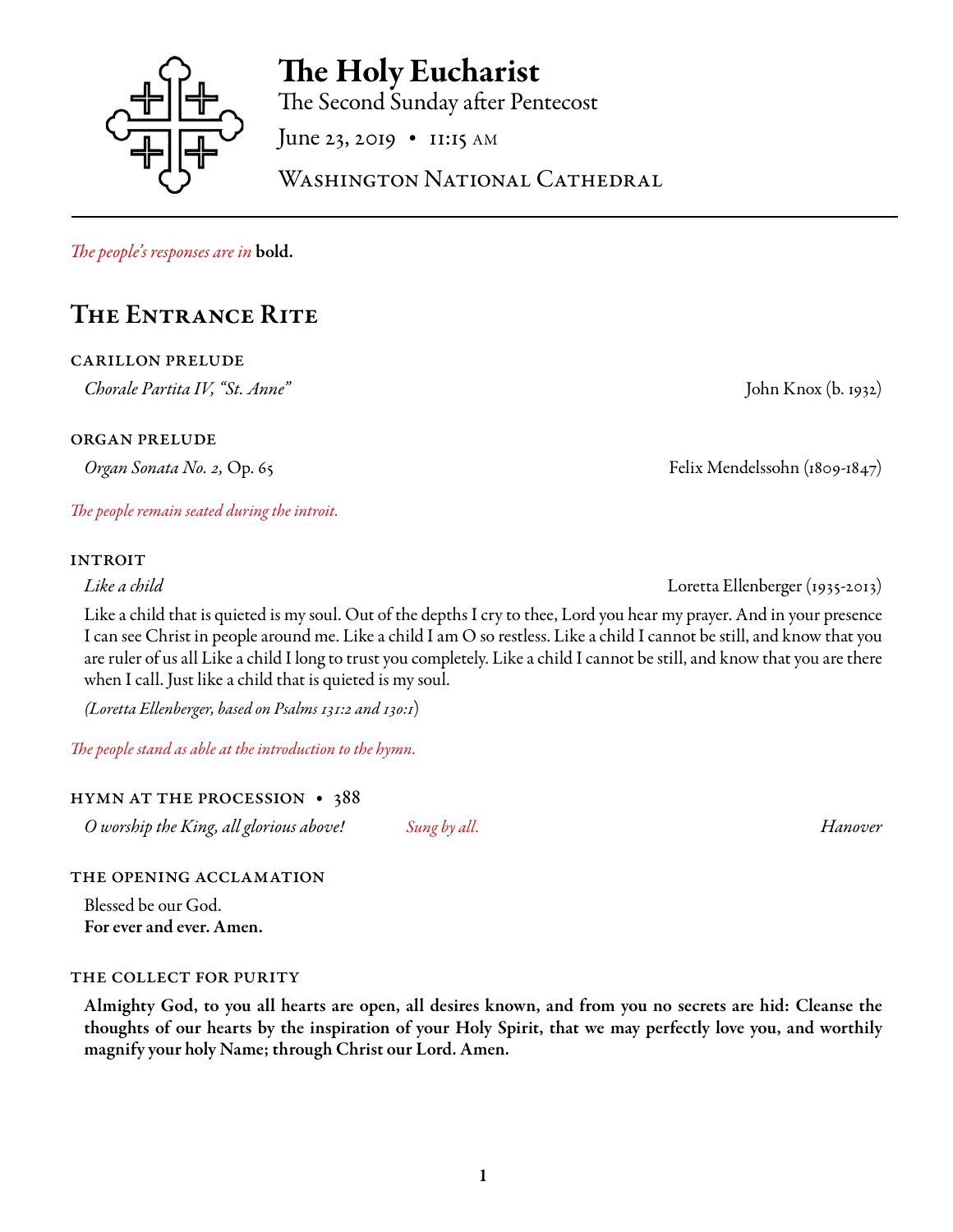# The Holy Eucharist

The Second Sunday after Pentecost

June 23, 2019 • II:15 AM

Washington National Cathedral

*The people's responses are in* bold.

# The Entrance Rite

# carillon prelude

*Chorale Partita IV, "St. Anne"* John Knox (b. 1932)

organ prelude

*Organ Sonata No. 2,* Op. 65 Felix Mendelssohn (1809-1847)

*The people remain seated during the introit.* 

# **INTROIT**

*Like a child* Loretta Ellenberger (1935-2013)

Like a child that is quieted is my soul. Out of the depths I cry to thee, Lord you hear my prayer. And in your presence I can see Christ in people around me. Like a child I am O so restless. Like a child I cannot be still, and know that you are ruler of us all Like a child I long to trust you completely. Like a child I cannot be still, and know that you are there when I call. Just like a child that is quieted is my soul.

*(Loretta Ellenberger, based on Psalms 131:2 and 130:1*)

*The people stand as able at the introduction to the hymn.* 

# hymn at the procession • 388

*O worship the King, all glorious above! Sung by all. Hanover* 

the opening acclamation

Blessed be our God. For ever and ever. Amen.

# THE COLLECT FOR PURITY

Almighty God, to you all hearts are open, all desires known, and from you no secrets are hid: Cleanse the thoughts of our hearts by the inspiration of your Holy Spirit, that we may perfectly love you, and worthily magnify your holy Name; through Christ our Lord. Amen.

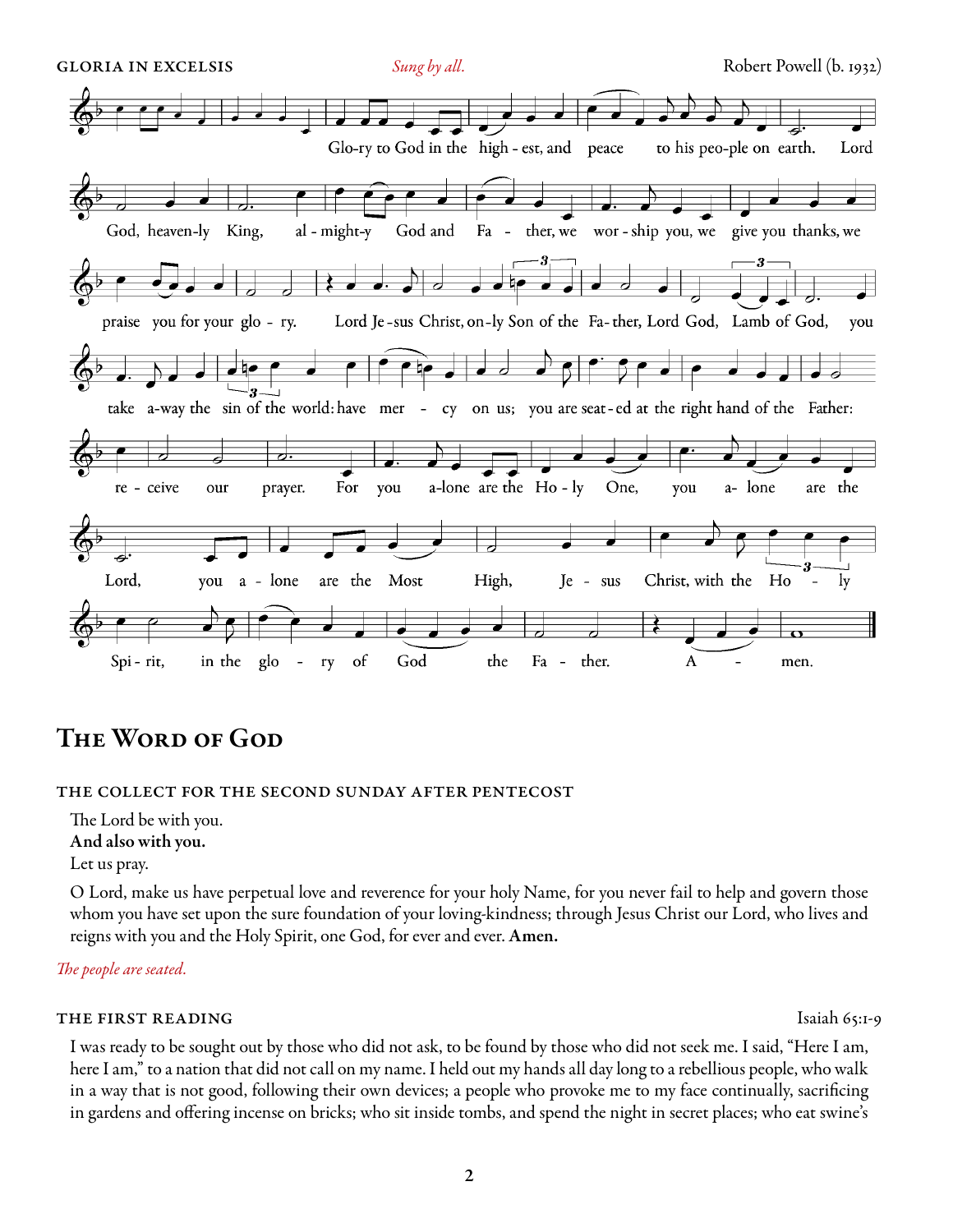

# THE WORD OF GOD

#### the collect for the second sunday after pentecost

The Lord be with you. And also with you. Let us pray.

O Lord, make us have perpetual love and reverence for your holy Name, for you never fail to help and govern those whom you have set upon the sure foundation of your loving-kindness; through Jesus Christ our Lord, who lives and reigns with you and the Holy Spirit, one God, for ever and ever. Amen.

#### *The people are seated.*

#### the first reading Isaiah 65:1-9

I was ready to be sought out by those who did not ask, to be found by those who did not seek me. I said, "Here I am, here I am," to a nation that did not call on my name. I held out my hands all day long to a rebellious people, who walk in a way that is not good, following their own devices; a people who provoke me to my face continually, sacrificing in gardens and offering incense on bricks; who sit inside tombs, and spend the night in secret places; who eat swine's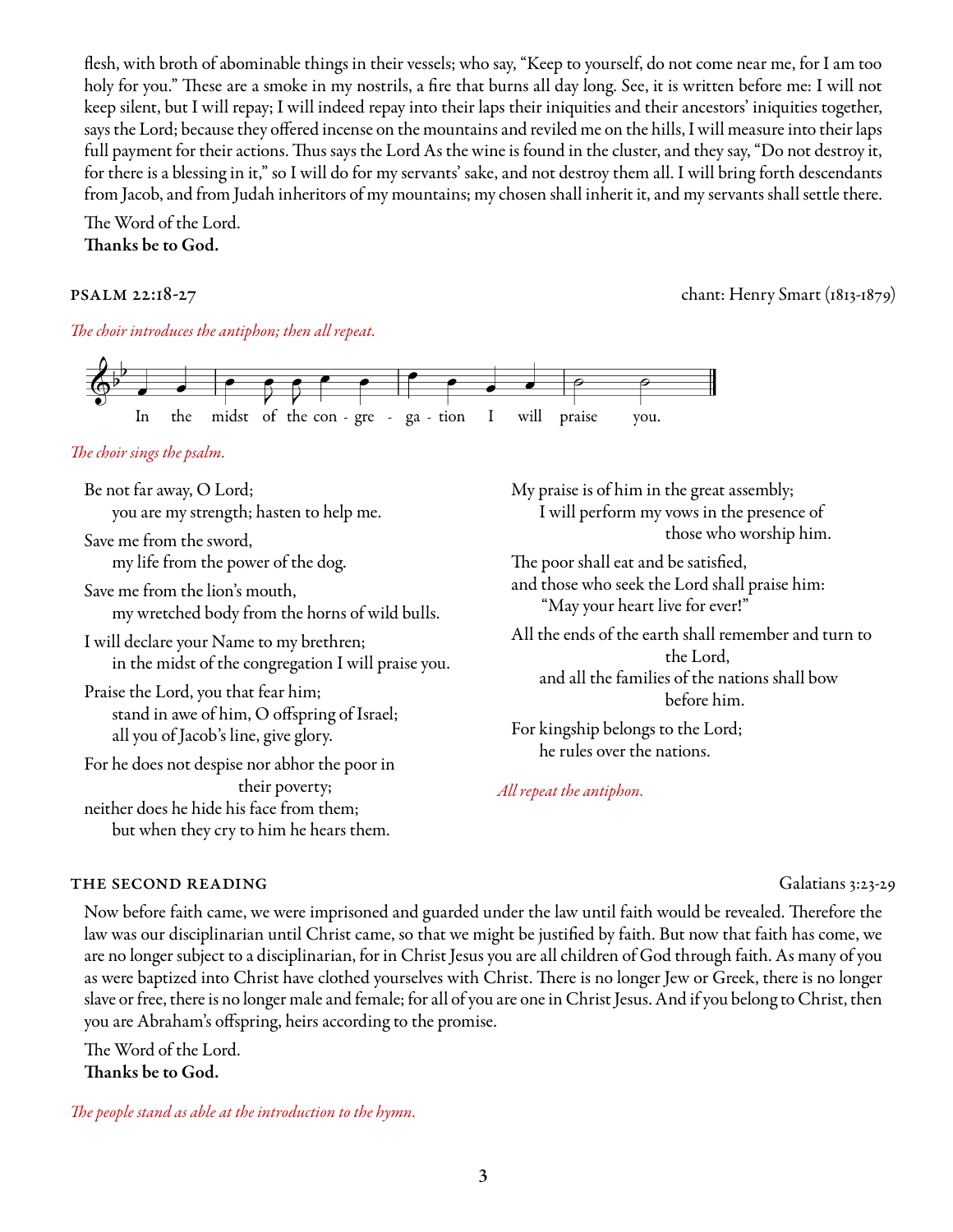flesh, with broth of abominable things in their vessels; who say, "Keep to yourself, do not come near me, for I am too holy for you." These are a smoke in my nostrils, a fire that burns all day long. See, it is written before me: I will not keep silent, but I will repay; I will indeed repay into their laps their iniquities and their ancestors' iniquities together, says the Lord; because they offered incense on the mountains and reviled me on the hills, I will measure into their laps full payment for their actions. Thus says the Lord As the wine is found in the cluster, and they say, "Do not destroy it, for there is a blessing in it," so I will do for my servants' sake, and not destroy them all. I will bring forth descendants from Jacob, and from Judah inheritors of my mountains; my chosen shall inherit it, and my servants shall settle there.

The Word of the Lord. Thanks be to God.

*The choir introduces the antiphon; then all repeat.*

psalm 22:18-27 chant: Henry Smart (1813-1879)



### *The choir sings the psalm.*

Be not far away, O Lord; you are my strength; hasten to help me.

Save me from the sword, my life from the power of the dog.

Save me from the lion's mouth, my wretched body from the horns of wild bulls.

- I will declare your Name to my brethren; in the midst of the congregation I will praise you.
- Praise the Lord, you that fear him; stand in awe of him, O offspring of Israel; all you of Jacob's line, give glory.

For he does not despise nor abhor the poor in their poverty; neither does he hide his face from them;

but when they cry to him he hears them.

My praise is of him in the great assembly; I will perform my vows in the presence of those who worship him. The poor shall eat and be satisfied, and those who seek the Lord shall praise him: "May your heart live for ever!" All the ends of the earth shall remember and turn to the Lord, and all the families of the nations shall bow before him. For kingship belongs to the Lord; he rules over the nations.

*All repeat the antiphon.* 

#### THE SECOND READING Galatians 3:23-29

Now before faith came, we were imprisoned and guarded under the law until faith would be revealed. Therefore the law was our disciplinarian until Christ came, so that we might be justified by faith. But now that faith has come, we are no longer subject to a disciplinarian, for in Christ Jesus you are all children of God through faith. As many of you as were baptized into Christ have clothed yourselves with Christ. There is no longer Jew or Greek, there is no longer slave or free, there is no longer male and female; for all of you are one in Christ Jesus. And if you belong to Christ, then you are Abraham's offspring, heirs according to the promise.

The Word of the Lord. Thanks be to God.

*The people stand as able at the introduction to the hymn.*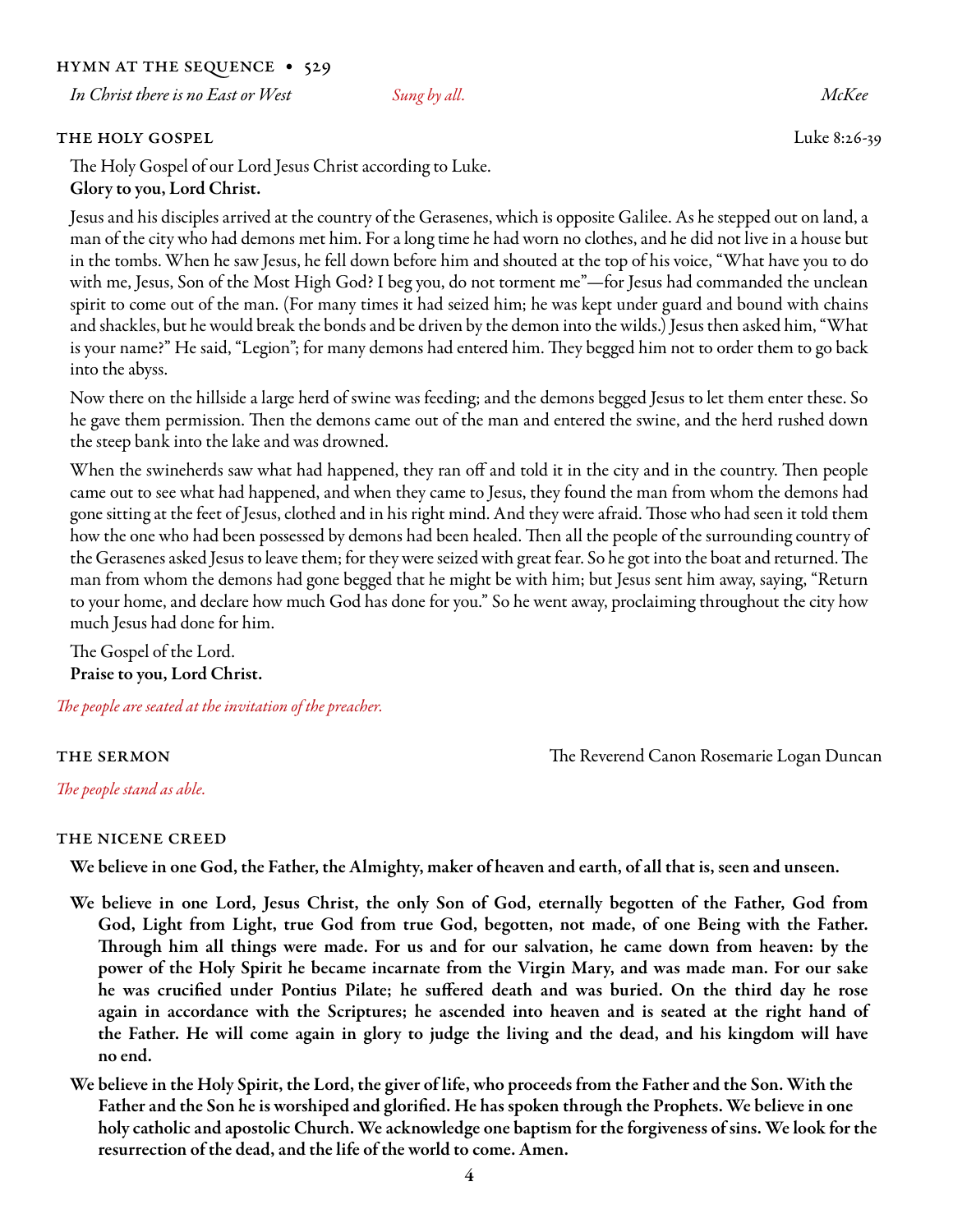#### hymn at the sequence • 529

*In Christ there is no East or West Sung by all. McKee* 

#### the holy gospel Luke 8:26-39

The Holy Gospel of our Lord Jesus Christ according to Luke. Glory to you, Lord Christ.

Jesus and his disciples arrived at the country of the Gerasenes, which is opposite Galilee. As he stepped out on land, a man of the city who had demons met him. For a long time he had worn no clothes, and he did not live in a house but in the tombs. When he saw Jesus, he fell down before him and shouted at the top of his voice, "What have you to do with me, Jesus, Son of the Most High God? I beg you, do not torment me"—for Jesus had commanded the unclean spirit to come out of the man. (For many times it had seized him; he was kept under guard and bound with chains and shackles, but he would break the bonds and be driven by the demon into the wilds.) Jesus then asked him, "What is your name?" He said, "Legion"; for many demons had entered him. They begged him not to order them to go back into the abyss.

Now there on the hillside a large herd of swine was feeding; and the demons begged Jesus to let them enter these. So he gave them permission. Then the demons came out of the man and entered the swine, and the herd rushed down the steep bank into the lake and was drowned.

When the swineherds saw what had happened, they ran off and told it in the city and in the country. Then people came out to see what had happened, and when they came to Jesus, they found the man from whom the demons had gone sitting at the feet of Jesus, clothed and in his right mind. And they were afraid. Those who had seen it told them how the one who had been possessed by demons had been healed. Then all the people of the surrounding country of the Gerasenes asked Jesus to leave them; for they were seized with great fear. So he got into the boat and returned. The man from whom the demons had gone begged that he might be with him; but Jesus sent him away, saying, "Return to your home, and declare how much God has done for you." So he went away, proclaiming throughout the city how much Jesus had done for him.

The Gospel of the Lord. Praise to you, Lord Christ.

*The people are seated at the invitation of the preacher.*

### the sermon The Reverend Canon Rosemarie Logan Duncan

*The people stand as able.* 

#### the nicene creed

We believe in one God, the Father, the Almighty, maker of heaven and earth, of all that is, seen and unseen.

- We believe in one Lord, Jesus Christ, the only Son of God, eternally begotten of the Father, God from God, Light from Light, true God from true God, begotten, not made, of one Being with the Father. Through him all things were made. For us and for our salvation, he came down from heaven: by the power of the Holy Spirit he became incarnate from the Virgin Mary, and was made man. For our sake he was crucified under Pontius Pilate; he suffered death and was buried. On the third day he rose again in accordance with the Scriptures; he ascended into heaven and is seated at the right hand of the Father. He will come again in glory to judge the living and the dead, and his kingdom will have no end.
- We believe in the Holy Spirit, the Lord, the giver of life, who proceeds from the Father and the Son. With the Father and the Son he is worshiped and glorified. He has spoken through the Prophets. We believe in one holy catholic and apostolic Church. We acknowledge one baptism for the forgiveness of sins. We look for the resurrection of the dead, and the life of the world to come. Amen.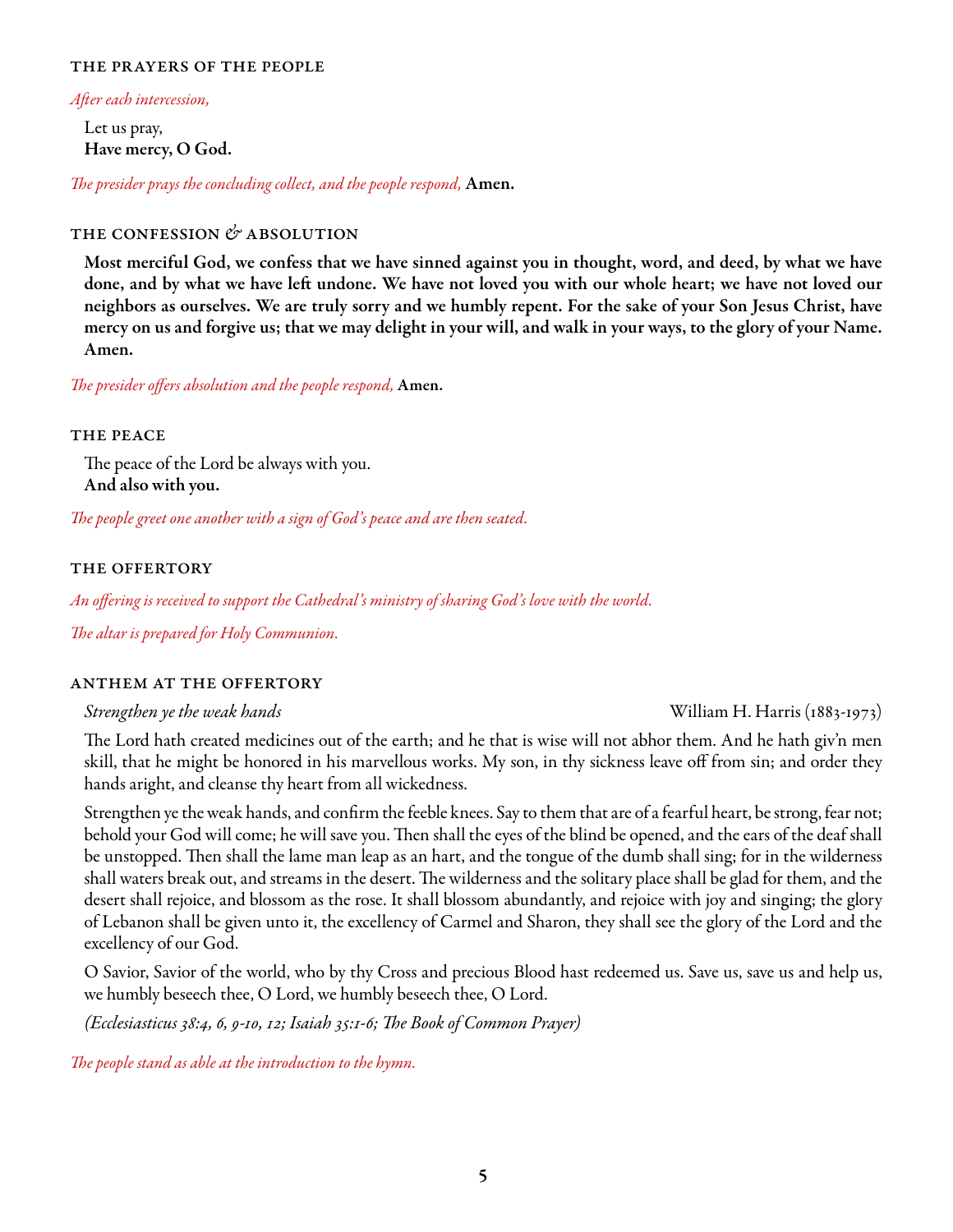#### the prayers of the people

#### *After each intercession,*

Let us pray, Have mercy, O God.

*The presider prays the concluding collect, and the people respond,* Amen.

# the confession *&* absolution

Most merciful God, we confess that we have sinned against you in thought, word, and deed, by what we have done, and by what we have left undone. We have not loved you with our whole heart; we have not loved our neighbors as ourselves. We are truly sorry and we humbly repent. For the sake of your Son Jesus Christ, have mercy on us and forgive us; that we may delight in your will, and walk in your ways, to the glory of your Name. Amen.

*The presider offers absolution and the people respond,* Amen.

#### THE PEACE

The peace of the Lord be always with you. And also with you.

*The people greet one another with a sign of God's peace and are then seated.*

### the offertory

*An offering is received to support the Cathedral's ministry of sharing God's love with the world.*

*The altar is prepared for Holy Communion.*

#### anthem at the offertory

The Lord hath created medicines out of the earth; and he that is wise will not abhor them. And he hath giv'n men skill, that he might be honored in his marvellous works. My son, in thy sickness leave off from sin; and order they hands aright, and cleanse thy heart from all wickedness.

Strengthen ye the weak hands, and confirm the feeble knees. Say to them that are of a fearful heart, be strong, fear not; behold your God will come; he will save you. Then shall the eyes of the blind be opened, and the ears of the deaf shall be unstopped. Then shall the lame man leap as an hart, and the tongue of the dumb shall sing; for in the wilderness shall waters break out, and streams in the desert. The wilderness and the solitary place shall be glad for them, and the desert shall rejoice, and blossom as the rose. It shall blossom abundantly, and rejoice with joy and singing; the glory of Lebanon shall be given unto it, the excellency of Carmel and Sharon, they shall see the glory of the Lord and the excellency of our God.

O Savior, Savior of the world, who by thy Cross and precious Blood hast redeemed us. Save us, save us and help us, we humbly beseech thee, O Lord, we humbly beseech thee, O Lord.

*(Ecclesiasticus 38:4, 6, 9-10, 12; Isaiah 35:1-6; The Book of Common Prayer)*

*The people stand as able at the introduction to the hymn.* 

# *Strengthen ye the weak hands* William H. Harris (1883-1973)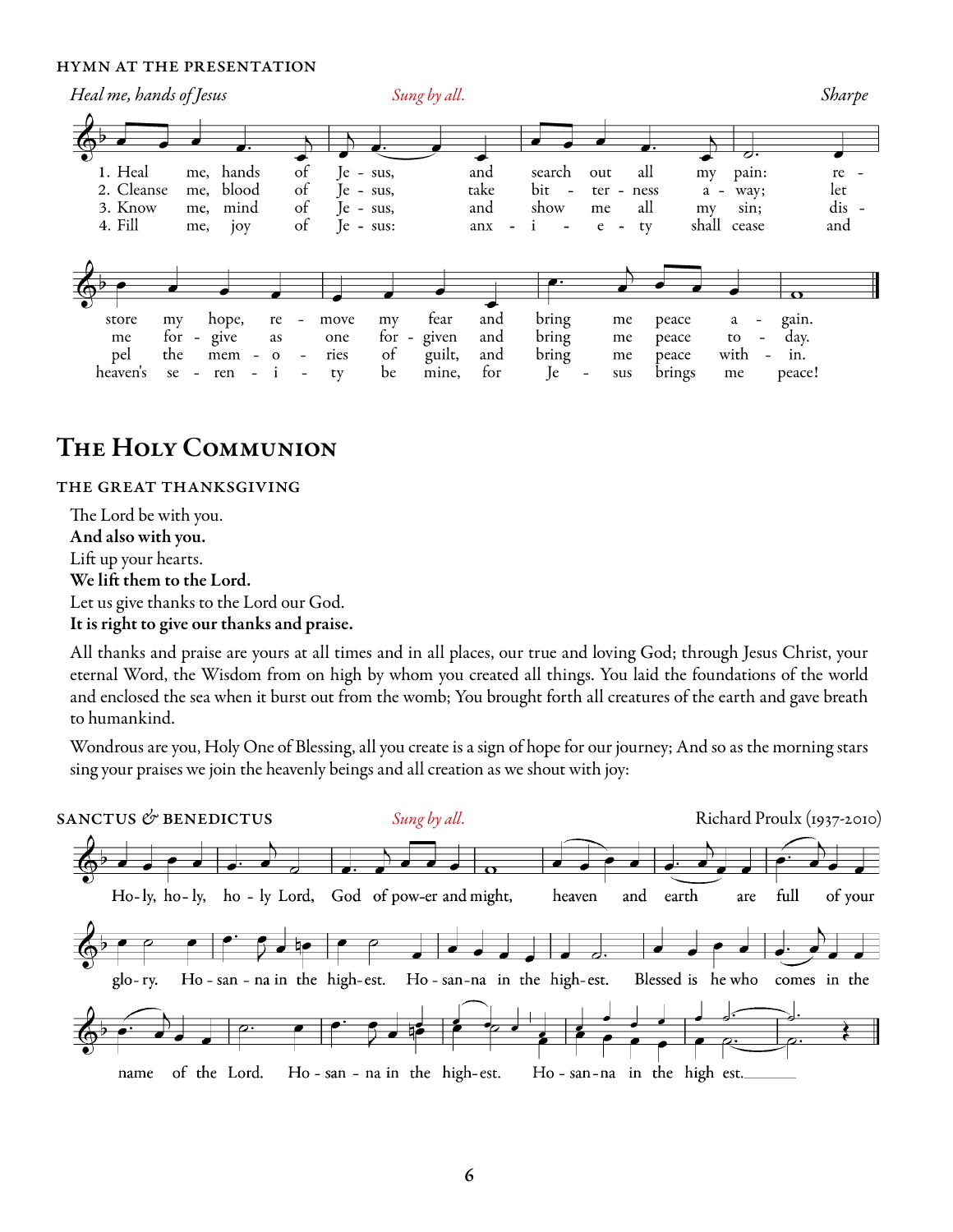#### hymn at the presentation



# The Holy Communion

### the great thanksgiving

The Lord be with you. And also with you. Lift up your hearts. We lift them to the Lord. Let us give thanks to the Lord our God. It is right to give our thanks and praise.

All thanks and praise are yours at all times and in all places, our true and loving God; through Jesus Christ, your eternal Word, the Wisdom from on high by whom you created all things. You laid the foundations of the world and enclosed the sea when it burst out from the womb; You brought forth all creatures of the earth and gave breath to humankind.

Wondrous are you, Holy One of Blessing, all you create is a sign of hope for our journey; And so as the morning stars sing your praises we join the heavenly beings and all creation as we shout with joy:

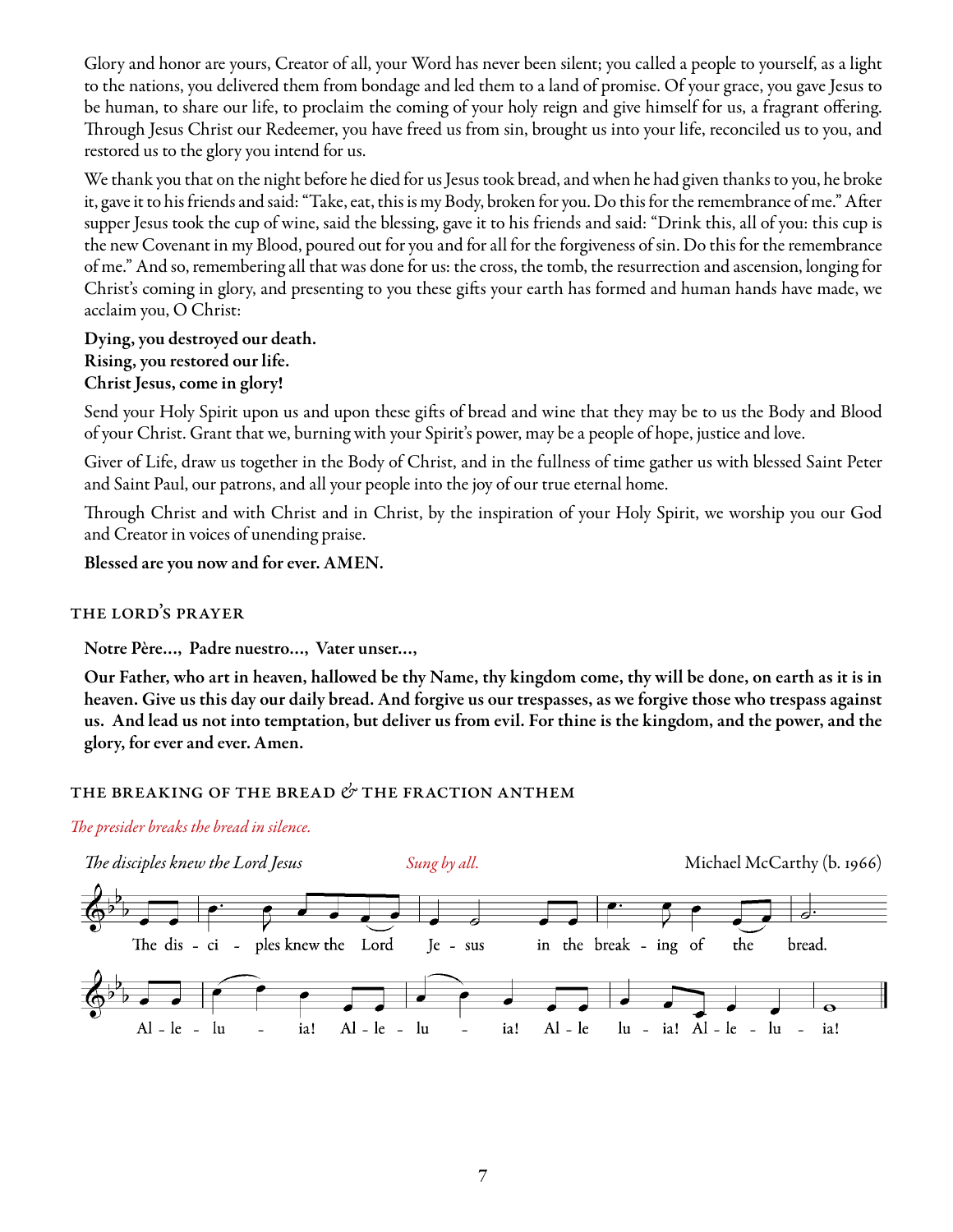Glory and honor are yours, Creator of all, your Word has never been silent; you called a people to yourself, as a light to the nations, you delivered them from bondage and led them to a land of promise. Of your grace, you gave Jesus to be human, to share our life, to proclaim the coming of your holy reign and give himself for us, a fragrant offering. Through Jesus Christ our Redeemer, you have freed us from sin, brought us into your life, reconciled us to you, and restored us to the glory you intend for us.

We thank you that on the night before he died for us Jesus took bread, and when he had given thanks to you, he broke it, gave it to his friends and said: "Take, eat, this is my Body, broken for you. Do this for the remembrance of me." After supper Jesus took the cup of wine, said the blessing, gave it to his friends and said: "Drink this, all of you: this cup is the new Covenant in my Blood, poured out for you and for all for the forgiveness of sin. Do this for the remembrance of me." And so, remembering all that was done for us: the cross, the tomb, the resurrection and ascension, longing for Christ's coming in glory, and presenting to you these gifts your earth has formed and human hands have made, we acclaim you, O Christ:

Dying, you destroyed our death. Rising, you restored our life. Christ Jesus, come in glory!

Send your Holy Spirit upon us and upon these gifts of bread and wine that they may be to us the Body and Blood of your Christ. Grant that we, burning with your Spirit's power, may be a people of hope, justice and love.

Giver of Life, draw us together in the Body of Christ, and in the fullness of time gather us with blessed Saint Peter and Saint Paul, our patrons, and all your people into the joy of our true eternal home.

Through Christ and with Christ and in Christ, by the inspiration of your Holy Spirit, we worship you our God and Creator in voices of unending praise.

Blessed are you now and for ever. AMEN.

## the lord's prayer

Notre Père…, Padre nuestro…, Vater unser…,

Our Father, who art in heaven, hallowed be thy Name, thy kingdom come, thy will be done, on earth as it is in heaven. Give us this day our daily bread. And forgive us our trespasses, as we forgive those who trespass against us. And lead us not into temptation, but deliver us from evil. For thine is the kingdom, and the power, and the glory, for ever and ever. Amen.

# the breaking of the bread *&* the fraction anthem

# *The presider breaks the bread in silence.*